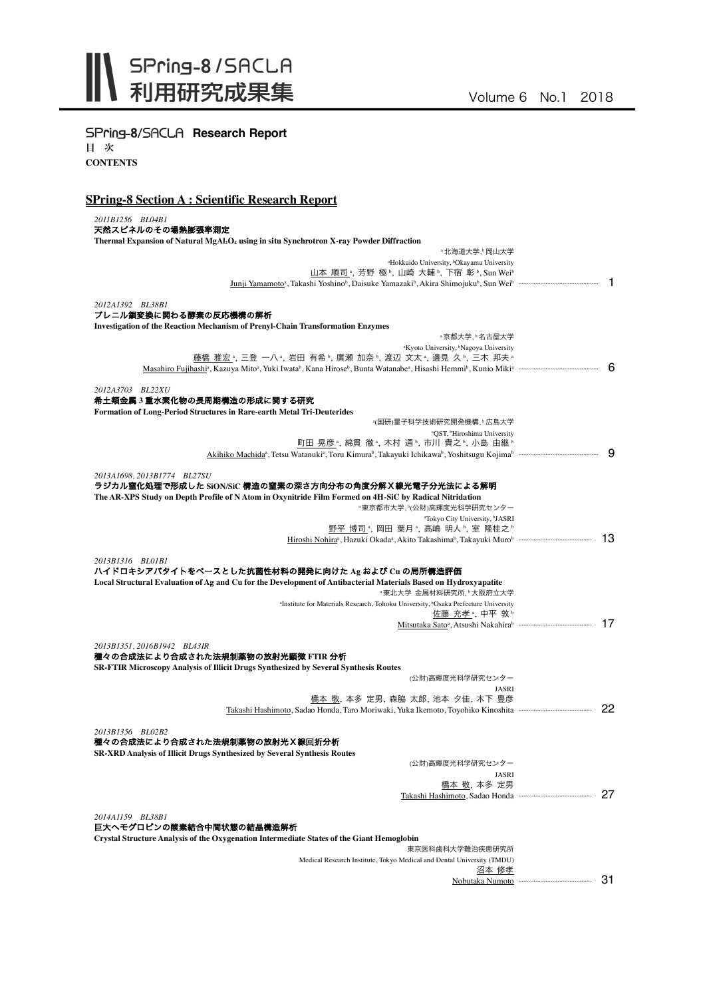

# SPring-8/SACLA Research Report

目 次 **CONTENTS**

## **SPring-8 Section A : Scientific Research Report**

| 2011B1256 BL04B1                                                                                                                                        |                       |
|---------------------------------------------------------------------------------------------------------------------------------------------------------|-----------------------|
| 天然スピネルのその場熱膨張率測定                                                                                                                                        |                       |
| Thermal Expansion of Natural MgAl2O <sub>4</sub> using in situ Synchrotron X-ray Powder Diffraction<br>*北海道大学, *岡山大学                                    |                       |
| <sup>a</sup> Hokkaido University, <sup>b</sup> Okayama University                                                                                       |                       |
| 山本 順司 ª, 芳野 極 ʰ, 山崎 大輔 ʰ, 下宿 彰 ʰ, Sun Weiʰ                                                                                                              |                       |
| <u>Junji Yamamoto</u> <sup>a</sup> , Takashi Yoshino <sup>b</sup> , Daisuke Yamazaki <sup>b</sup> , Akira Shimojuku <sup>b</sup> , Sun Wei <sup>b</sup> | -1                    |
|                                                                                                                                                         |                       |
| 2012A1392 BL38B1                                                                                                                                        |                       |
| プレニル鎖変換に関わる酵素の反応機構の解析                                                                                                                                   |                       |
| <b>Investigation of the Reaction Mechanism of Prenyl-Chain Transformation Enzymes</b>                                                                   |                       |
| *京都大学. * 名古屋大学                                                                                                                                          |                       |
| <sup>a</sup> Kyoto University, <sup>b</sup> Nagoya University                                                                                           |                       |
| 藤橋 雅宏 ,三登 一八 ,岩田 有希 ,廣瀬 加奈 ,渡辺 文太 ,邊見 久 ,三木 邦夫 .                                                                                                        | - 6                   |
|                                                                                                                                                         |                       |
| 2012A3703 BL22XU                                                                                                                                        |                       |
| 希土類金属3重水素化物の長周期構造の形成に関する研究                                                                                                                              |                       |
| <b>Formation of Long-Period Structures in Rare-earth Metal Tri-Deuterides</b>                                                                           |                       |
| *(国研)量子科学技術研究開発機構, ʰ 広島大学                                                                                                                               |                       |
| <sup>a</sup> QST, <sup>b</sup> Hiroshima University                                                                                                     |                       |
| 町田 晃彦 , 綿貫 徹 , 木村 通 , 市川 貴之 , 小島 由継 。                                                                                                                   |                       |
| Akihiko Machida <sup>a</sup> , Tetsu Watanuki <sup>a</sup> , Toru Kimura <sup>b</sup> , Takayuki Ichikawa <sup>b</sup> , Yoshitsugu Kojima <sup>b</sup> | 9                     |
|                                                                                                                                                         |                       |
| 2013A1698, 2013B1774 BL27SU                                                                                                                             |                       |
| ラジカル窒化処理で形成した SiON/SiC 構造の窒素の深さ方向分布の角度分解X線光電子分光法による解明                                                                                                   |                       |
| The AR-XPS Study on Depth Profile of N Atom in Oxynitride Film Formed on 4H-SiC by Radical Nitridation                                                  |                       |
| ◦東京都市大学,≧(公財)高輝度光科学研究センター                                                                                                                               |                       |
| <sup>a</sup> Tokyo City University, <sup>b</sup> JASRI                                                                                                  |                       |
| 野平 博司 ి. 岡田 葉月 ª. 高嶋 明人 ʰ. 室 隆桂之 ʰ                                                                                                                      | 13                    |
|                                                                                                                                                         |                       |
| 2013B1316 BL01B1                                                                                                                                        |                       |
| ハイドロキシアパタイトをベースとした抗菌性材料の開発に向けた Ag および Cu の局所構造評価                                                                                                        |                       |
| Local Structural Evaluation of Ag and Cu for the Development of Antibacterial Materials Based on Hydroxyapatite                                         |                       |
| *東北大学 金属材料研究所.*大阪府立大学                                                                                                                                   |                       |
| <sup>a</sup> Institute for Materials Research, Tohoku University, <sup>b</sup> Osaka Prefecture University                                              |                       |
| 佐藤 充孝 , 中平敦                                                                                                                                             |                       |
|                                                                                                                                                         | 17                    |
|                                                                                                                                                         |                       |
| 2013B1351, 2016B1942 BL43IR                                                                                                                             |                       |
| 種々の合成法により合成された法規制薬物の放射光顕微 FTIR 分析                                                                                                                       |                       |
| SR-FTIR Microscopy Analysis of Illicit Drugs Synthesized by Several Synthesis Routes                                                                    |                       |
| (公財)高輝度光科学研究センター                                                                                                                                        |                       |
| JASRI<br>橋本 敬, 本多 定男, 森脇 太郎, 池本 夕佳, 木下 豊彦                                                                                                               |                       |
| Takashi Hashimoto, Sadao Honda, Taro Moriwaki, Yuka Ikemoto, Toyohiko Kinoshita muummuummuummuu                                                         | 22                    |
|                                                                                                                                                         |                       |
| 2013B1356 BL02B2                                                                                                                                        |                       |
| 種々の合成法により合成された法規制薬物の放射光X線回折分析                                                                                                                           |                       |
| <b>SR-XRD Analysis of Illicit Drugs Synthesized by Several Synthesis Routes</b>                                                                         |                       |
| (公財)高輝度光科学研究センター                                                                                                                                        |                       |
| JASRI                                                                                                                                                   |                       |
| <u>橋本 敬</u> , 本多 定男                                                                                                                                     |                       |
|                                                                                                                                                         | 27                    |
|                                                                                                                                                         |                       |
| 2014A1159 BL38B1                                                                                                                                        |                       |
| 巨大へモグロビンの酸素結合中間状態の結晶構造解析                                                                                                                                |                       |
| <b>Crystal Structure Analysis of the Oxygenation Intermediate States of the Giant Hemoglobin</b><br>東京医科歯科大学難治疾患研究所                                     |                       |
| Medical Research Institute, Tokyo Medical and Dental University (TMDU)                                                                                  |                       |
| 沼本 修孝                                                                                                                                                   |                       |
|                                                                                                                                                         | 31<br>Nobutaka Numoto |
|                                                                                                                                                         |                       |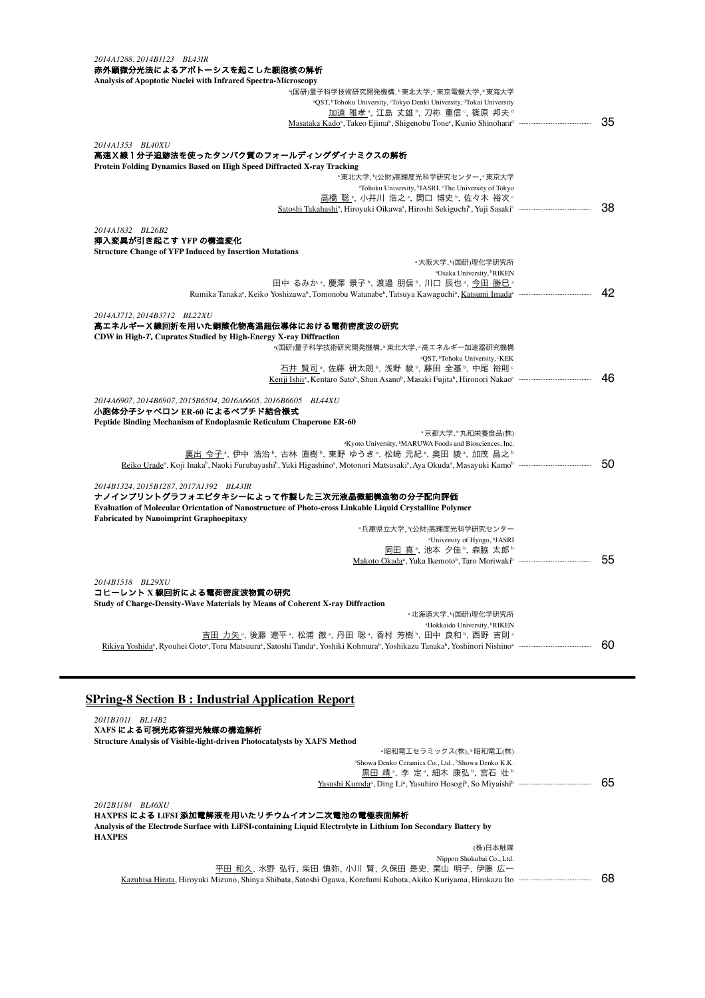#### *2014A1288, 2014B1123 BL43IR* 赤外顕微分光法によるアポトーシスを起こした細胞核の解析

| Analysis of Apoptotic Nuclei with Infrared Spectra-Microscopy                                                                                                                                                   |    |
|-----------------------------------------------------------------------------------------------------------------------------------------------------------------------------------------------------------------|----|
| <u>。(国研)量子科学技術研究開発機構, ♭東北大学, ∘東京電機大学, ª東海大学</u>                                                                                                                                                                 |    |
| aQST, <sup>b</sup> Tohoku University, <sup>c</sup> Tokyo Denki University, <sup>d</sup> Tokai University                                                                                                        |    |
| 加道 雅孝 , 江島 丈雄 , 刀祢 重信 , 篠原 邦夫 。                                                                                                                                                                                 |    |
| Masataka Kado <sup>a</sup> , Takeo Ejima <sup>b</sup> , Shigenobu Tone <sup>c</sup> , Kunio Shinohara <sup>d</sup>                                                                                              | 35 |
| 2014A1353 BL40XU                                                                                                                                                                                                |    |
| 高速X線1分子追跡法を使ったタンパク質のフォールディングダイナミクスの解析                                                                                                                                                                           |    |
| Protein Folding Dynamics Based on High Speed Diffracted X-ray Tracking                                                                                                                                          |    |
| <sup>。</sup> 東北大学, Y(公財)高輝度光科学研究センター, · 東京大学                                                                                                                                                                    |    |
| <sup>a</sup> Tohoku University, <sup>b</sup> JASRI, <sup>c</sup> The University of Tokyo                                                                                                                        |    |
| 高橋 聡 ª, 小井川 浩之 ª, 関口 博史 ª, 佐々木 裕次 º                                                                                                                                                                             |    |
|                                                                                                                                                                                                                 | 38 |
| 2014A1832 BL26B2                                                                                                                                                                                                |    |
| 挿入変異が引き起こす YFP の構造変化                                                                                                                                                                                            |    |
| <b>Structure Change of YFP Induced by Insertion Mutations</b>                                                                                                                                                   |    |
| *大阪大学、Y(国研)理化学研究所                                                                                                                                                                                               |    |
| <sup>a</sup> Osaka University, <sup>b</sup> RIKEN                                                                                                                                                               |    |
| 田中 るみか ゚、慶澤 景子 ゚、渡邉 朋信 ゚、川口 辰也 ゚、今田 勝巳 ゚                                                                                                                                                                        |    |
| Rumika Tanaka <sup>a</sup> , Keiko Yoshizawa <sup>b</sup> , Tomonobu Watanabe <sup>b</sup> , Tatsuya Kawaguchi <sup>a</sup> , Katsumi Imada <sup>a</sup>                                                        | 42 |
| 2014A3712.2014B3712 BL22XU                                                                                                                                                                                      |    |
| 高エネルギーX線回折を用いた銅酸化物高温超伝導体における電荷密度波の研究                                                                                                                                                                            |    |
| CDW in High-T <sub>c</sub> Cuprates Studied by High-Energy X-ray Diffraction                                                                                                                                    |    |
|                                                                                                                                                                                                                 |    |
| <sup>a</sup> QST, <sup>b</sup> Tohoku University, °KEK                                                                                                                                                          |    |
| 石井 賢司 ﴿ 佐藤 研太朗 ». 浅野 駿 ». 藤田 全基 ». 中尾 裕則 «                                                                                                                                                                      |    |
|                                                                                                                                                                                                                 | 46 |
| 2014A6907, 2014B6907, 2015B6504, 2016A6605, 2016B6605 BL44XU                                                                                                                                                    |    |
| 小胞体分子シャペロン ER-60 によるペプチド結合様式                                                                                                                                                                                    |    |
| Peptide Binding Mechanism of Endoplasmic Reticulum Chaperone ER-60                                                                                                                                              |    |
| ◦京都大学.♭丸和栄養食品(株)                                                                                                                                                                                                |    |
| <sup>a</sup> Kyoto University, <sup>b</sup> MARUWA Foods and Biosciences, Inc.                                                                                                                                  |    |
| 裏出 令子 , 伊中 浩治 , 古林 直樹 , 東野 ゆうき , 松﨑 元紀 , 奥田 綾 , 加茂 昌之                                                                                                                                                           |    |
| Reiko Urade <sup>a</sup> , Koji Inaka <sup>b</sup> , Naoki Furubayashi <sup>b</sup> , Yuki Higashino <sup>a</sup> , Motonori Matsusaki <sup>a</sup> , Aya Okuda <sup>a</sup> , Masayuki Kamob mammammammammamma | 50 |
|                                                                                                                                                                                                                 |    |
| 2014B1324.2015B1287.2017A1392 BL43IR                                                                                                                                                                            |    |
| ナノインプリントグラフォエピタキシーによって作製した三次元液晶微細構造物の分子配向評価                                                                                                                                                                     |    |
| Evaluation of Molecular Orientation of Nanostructure of Photo-cross Linkable Liquid Crystalline Polymer                                                                                                         |    |
| <b>Fabricated by Nanoimprint Graphoepitaxy</b>                                                                                                                                                                  |    |
| ◦兵庫県立大学、ヤ(公財)高輝度光科学研究センター                                                                                                                                                                                       |    |
| <sup>a</sup> University of Hyogo, <sup>b</sup> JASRI                                                                                                                                                            |    |
| 岡田 真 ª, 池本 夕佳 ʰ, 森脇 太郎 ʰ                                                                                                                                                                                        |    |
|                                                                                                                                                                                                                 | 55 |
| 2014B1518 BL29XU                                                                                                                                                                                                |    |
| コヒーレント X 線回折による電荷密度波物質の研究                                                                                                                                                                                       |    |
| Study of Charge-Density-Wave Materials by Means of Coherent X-ray Diffraction                                                                                                                                   |    |
| ◦北海道大学,≧(国研)理化学研究所                                                                                                                                                                                              |    |
| <sup>a</sup> Hokkaido University, <sup>b</sup> RIKEN                                                                                                                                                            |    |
| 吉田 力矢 ,後藤 遼平 ,松浦 徹 ,丹田 聡 ,香村 芳樹 ,田中 良和 ,西野 吉則 』                                                                                                                                                                 |    |
|                                                                                                                                                                                                                 | 60 |
|                                                                                                                                                                                                                 |    |

## **SPring-8 Section B : Industrial Application Report**

| 2011B1011<br><i>BL14B2</i><br>XAFS による可視光応答型光触媒の構造解析<br><b>Structure Analysis of Visible-light-driven Photocatalysts by XAFS Method</b>                                                             |                                                                                                           |    |
|-----------------------------------------------------------------------------------------------------------------------------------------------------------------------------------------------------|-----------------------------------------------------------------------------------------------------------|----|
|                                                                                                                                                                                                     | ◦昭和電工セラミックス(株)、▷昭和電工(株)                                                                                   |    |
|                                                                                                                                                                                                     | <sup>a</sup> Showa Denko Ceramics Co., Ltd., <sup>b</sup> Showa Denko K.K.<br>黒田 靖 , 李 定 , 細木 康弘 , 宮石 壮 。 |    |
|                                                                                                                                                                                                     |                                                                                                           | 65 |
| 2012B1184 BL46XU<br>HAXPES による LiFSI 添加電解液を用いたリチウムイオン二次電池の電極表面解析<br>Analysis of the Electrode Surface with LiFSI-containing Liquid Electrolyte in Lithium Ion Secondary Battery by<br><b>HAXPES</b> |                                                                                                           |    |
|                                                                                                                                                                                                     |                                                                                                           |    |
|                                                                                                                                                                                                     | (株)日本触媒                                                                                                   |    |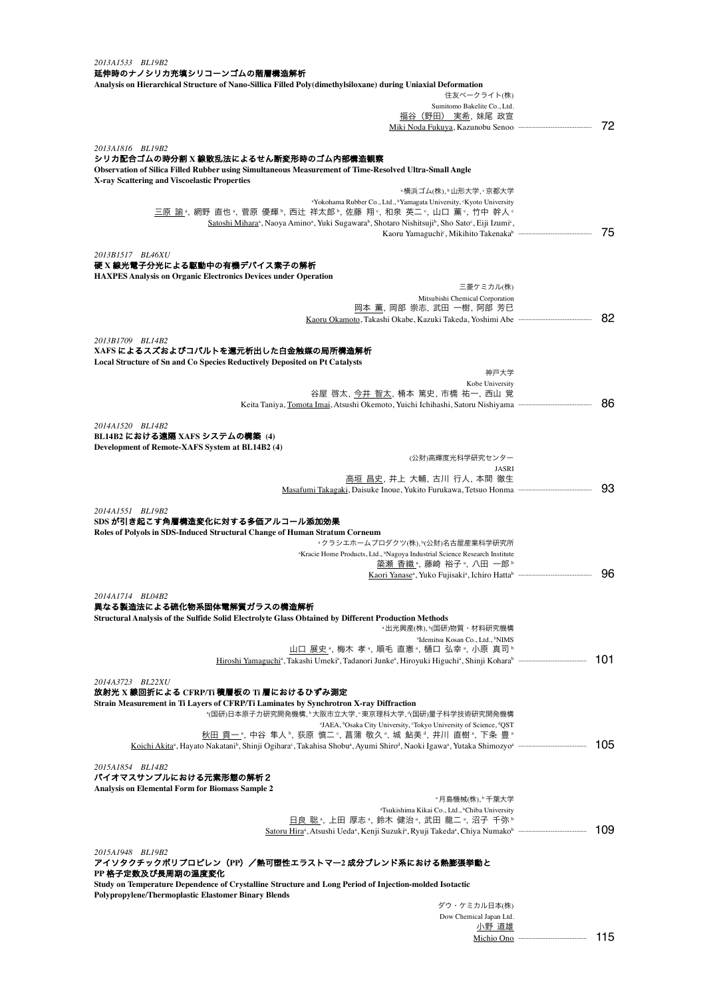| 2013A1533 BL19B2<br>延伸時のナノシリカ充填シリコーンゴムの階層構造解析<br>Analysis on Hierarchical Structure of Nano-Sillica Filled Poly(dimethylsiloxane) during Uniaxial Deformation                                                                                                                                                                                 |     |
|-----------------------------------------------------------------------------------------------------------------------------------------------------------------------------------------------------------------------------------------------------------------------------------------------------------------------------------------------|-----|
| 住友ベークライト(株)<br>Sumitomo Bakelite Co., Ltd.                                                                                                                                                                                                                                                                                                    |     |
| 福谷(野田) 実希, 妹尾 政宣                                                                                                                                                                                                                                                                                                                              |     |
|                                                                                                                                                                                                                                                                                                                                               | 72  |
|                                                                                                                                                                                                                                                                                                                                               |     |
| 2013A1816 BL19B2<br>シリカ配合ゴムの時分割 X 線散乱法によるせん断変形時のゴム内部構造観察<br>Observation of Silica Filled Rubber using Simultaneous Measurement of Time-Resolved Ultra-Small Angle                                                                                                                                                                             |     |
| X-ray Scattering and Viscoelastic Properties                                                                                                                                                                                                                                                                                                  |     |
| ◦横浜ゴム(株)、▷山形大学、°京都大学                                                                                                                                                                                                                                                                                                                          |     |
| <sup>a</sup> Yokohama Rubber Co., Ltd., <sup>b</sup> Yamagata University, <sup>c</sup> Kyoto University<br>三原 諭",網野 直也",菅原 優輝",西辻 祥太郎",佐藤 翔。,和泉 英二。,山口 薫。,竹中 幹人。<br>Satoshi Mihara <sup>a</sup> , Naoya Amino <sup>a</sup> , Yuki Sugawara <sup>b</sup> , Shotaro Nishitsuji <sup>b</sup> , Sho Sato <sup>c</sup> , Eiji Izumi <sup>c</sup> , |     |
|                                                                                                                                                                                                                                                                                                                                               | 75  |
| 2013B1517 BL46XU<br>硬 X 線光電子分光による駆動中の有機デバイス素子の解析                                                                                                                                                                                                                                                                                              |     |
| <b>HAXPES Analysis on Organic Electronics Devices under Operation</b>                                                                                                                                                                                                                                                                         |     |
| 三菱ケミカル(株)<br>Mitsubishi Chemical Corporation                                                                                                                                                                                                                                                                                                  |     |
| 岡本 薫, 岡部 崇志, 武田 一樹, 阿部 芳巳                                                                                                                                                                                                                                                                                                                     |     |
|                                                                                                                                                                                                                                                                                                                                               | 82  |
|                                                                                                                                                                                                                                                                                                                                               |     |
| 2013B1709 BL14B2<br>XAFS によるスズおよびコバルトを還元析出した白金触媒の局所構造解析                                                                                                                                                                                                                                                                                       |     |
| Local Structure of Sn and Co Species Reductively Deposited on Pt Catalysts                                                                                                                                                                                                                                                                    |     |
| 神戸大学                                                                                                                                                                                                                                                                                                                                          |     |
| Kobe University                                                                                                                                                                                                                                                                                                                               |     |
| 谷屋 啓太, 今井 智太, 桶本 篤史, 市橋 祐一, 西山 覚                                                                                                                                                                                                                                                                                                              | 86  |
|                                                                                                                                                                                                                                                                                                                                               |     |
| 2014A1520 BL14B2                                                                                                                                                                                                                                                                                                                              |     |
| BL14B2 における遠隔 XAFS システムの構築 (4)                                                                                                                                                                                                                                                                                                                |     |
| Development of Remote-XAFS System at BL14B2 (4)<br>(公財)高輝度光科学研究センター                                                                                                                                                                                                                                                                           |     |
| <b>JASRI</b>                                                                                                                                                                                                                                                                                                                                  |     |
| 高垣 昌史,井上 大輔,古川 行人,本間 徹生                                                                                                                                                                                                                                                                                                                       |     |
|                                                                                                                                                                                                                                                                                                                                               | 93  |
| 2014A1551 BL19B2                                                                                                                                                                                                                                                                                                                              |     |
| SDS が引き起こす角層構造変化に対する多価アルコール添加効果                                                                                                                                                                                                                                                                                                               |     |
| Roles of Polyols in SDS-Induced Structural Change of Human Stratum Corneum                                                                                                                                                                                                                                                                    |     |
| ◦クラシエホームプロダクツ(株),≧(公財)名古屋産業科学研究所                                                                                                                                                                                                                                                                                                              |     |
| <sup>a</sup> Kracie Home Products, Ltd., <sup>b</sup> Nagoya Industrial Science Research Institute<br><u>簗瀬 香織</u> ª,藤崎 裕子ª, 八田 一郎ʰ                                                                                                                                                                                                           |     |
|                                                                                                                                                                                                                                                                                                                                               | 96  |
|                                                                                                                                                                                                                                                                                                                                               |     |
| 2014A1714 BL04B2                                                                                                                                                                                                                                                                                                                              |     |
| 異なる製造法による硫化物系固体電解質ガラスの構造解析<br>Structural Analysis of the Sulfide Solid Electrolyte Glass Obtained by Different Production Methods                                                                                                                                                                                                             |     |
| ◦出光興産(株),≧(国研)物質・材料研究機構                                                                                                                                                                                                                                                                                                                       |     |
| <sup>a</sup> Idemitsu Kosan Co., Ltd., <sup>b</sup> NIMS                                                                                                                                                                                                                                                                                      |     |
| 山口 展史 ª, 梅木 孝 ª, 順毛 直憲 ª, 樋口 弘幸 ª, 小原 真司 ʰ                                                                                                                                                                                                                                                                                                    | 101 |
| Hiroshi Yamaguchi <sup>a</sup> , Takashi Umeki <sup>a</sup> , Tadanori Junke <sup>a</sup> , Hiroyuki Higuchi <sup>a</sup> , Shinji Koharah mammammammammam                                                                                                                                                                                    |     |
| 2014A3723 BL22XU                                                                                                                                                                                                                                                                                                                              |     |
| 放射光 X 線回折による CFRP/Ti 積層板の Ti 層におけるひずみ測定                                                                                                                                                                                                                                                                                                       |     |
| Strain Measurement in Ti Layers of CFRP/Ti Laminates by Synchrotron X-ray Diffraction<br><u>。(国研)日本原子力研究開発機構,</u> 。大阪市立大学,<東京理科大学,ଏ(国研)量子科学技術研究開発機構                                                                                                                                                                                           |     |
| <sup>a</sup> JAEA, <sup>b</sup> Osaka City University, 'Tokyo University of Science, <sup>4</sup> QST                                                                                                                                                                                                                                         |     |
| <u>秋田 貢一</u> 。中谷 隼人。,荻原 慎二。, 菖蒲 敬久。, 城 鮎美。, 井川 直樹。, 下条 豊。                                                                                                                                                                                                                                                                                     |     |
|                                                                                                                                                                                                                                                                                                                                               | 105 |
| 2015A1854 BL14B2<br>バイオマスサンプルにおける元素形態の解析2                                                                                                                                                                                                                                                                                                     |     |
| Analysis on Elemental Form for Biomass Sample 2                                                                                                                                                                                                                                                                                               |     |
| ◦月島機械(株),♭千葉大学<br>"Tsukishima Kikai Co., Ltd., <sup>b</sup> Chiba University                                                                                                                                                                                                                                                                  |     |
| 日良 聡*, 上田 厚志*, 鈴木 健治*, 武田 龍二*, 沼子 千弥*                                                                                                                                                                                                                                                                                                         |     |
|                                                                                                                                                                                                                                                                                                                                               | 109 |
|                                                                                                                                                                                                                                                                                                                                               |     |
| 2015A1948 BL19B2<br>アイソタクチックポリプロピレン(PP)/熱可塑性エラストマー2 成分ブレンド系における熱膨張挙動と<br>PP 格子定数及び長周期の温度変化                                                                                                                                                                                                                                                    |     |
| Study on Temperature Dependence of Crystalline Structure and Long Period of Injection-molded Isotactic                                                                                                                                                                                                                                        |     |
| Polypropylene/Thermoplastic Elastomer Binary Blends                                                                                                                                                                                                                                                                                           |     |
| ダウ・ケミカル日本(株)                                                                                                                                                                                                                                                                                                                                  |     |

Dow Chemical Japan Ltd. 小野 道雄 Michio Ono ········································ 115